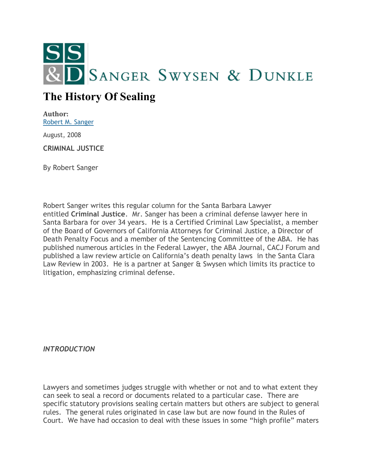

## **The History Of Sealing**

**Author:** [Robert M. Sanger](http://sangerswysen.com/robert-m-sanger)

August, 2008

**CRIMINAL JUSTICE**

By Robert Sanger

Robert Sanger writes this regular column for the Santa Barbara Lawyer entitled **Criminal Justice**. Mr. Sanger has been a criminal defense lawyer here in Santa Barbara for over 34 years. He is a Certified Criminal Law Specialist, a member of the Board of Governors of California Attorneys for Criminal Justice, a Director of Death Penalty Focus and a member of the Sentencing Committee of the ABA. He has published numerous articles in the Federal Lawyer, the ABA Journal, CACJ Forum and published a law review article on California's death penalty laws in the Santa Clara Law Review in 2003. He is a partner at Sanger & Swysen which limits its practice to litigation, emphasizing criminal defense.

*INTRODUCTION*

Lawyers and sometimes judges struggle with whether or not and to what extent they can seek to seal a record or documents related to a particular case. There are specific statutory provisions sealing certain matters but others are subject to general rules. The general rules originated in case law but are now found in the Rules of Court. We have had occasion to deal with these issues in some "high profile" maters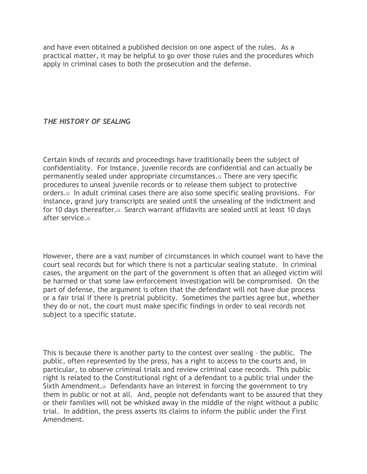and have even obtained a published decision on one aspect of the rules. As a practical matter, it may be helpful to go over those rules and the procedures which apply in criminal cases to both the prosecution and the defense.

## *THE HISTORY OF SEALING*

Certain kinds of records and proceedings have traditionally been the subject of confidentiality. For instance, juvenile records are confidential and can actually be permanently sealed under appropriate circumstances.[\[1\]](#page-5-0) There are very specific procedures to unseal juvenile records or to release them subject to protective orders[.](#page-5-1)<sup>21</sup> In adult criminal cases there are also some specific sealing provisions. For instance, grand jury transcripts are sealed until the unsealing of the indictment and for 10 days thereafter.<sup>[\[3\]](#page-5-2)</sup> Search warrant affidavits are sealed until at least 10 days after service[.](#page-5-3)[4]

However, there are a vast number of circumstances in which counsel want to have the court seal records but for which there is not a particular sealing statute. In criminal cases, the argument on the part of the government is often that an alleged victim will be harmed or that some law enforcement investigation will be compromised. On the part of defense, the argument is often that the defendant will not have due process or a fair trial if there is pretrial publicity. Sometimes the parties agree but, whether they do or not, the court must make specific findings in order to seal records not subject to a specific statute.

This is because there is another party to the contest over sealing – the public. The public, often represented by the press, has a right to access to the courts and, in particular, to observe criminal trials and review criminal case records. This public right is related to the Constitutional right of a defendant to a public trial under the Sixth Amendment[.](#page-5-4) $\mathbb{F}$  Defendants have an interest in forcing the government to try them in public or not at all. And, people not defendants want to be assured that they or their families will not be whisked away in the middle of the night without a public trial. In addition, the press asserts its claims to inform the public under the First Amendment.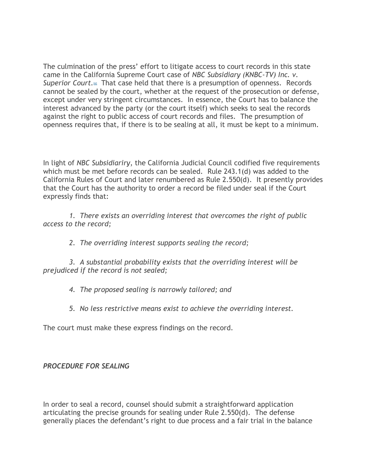The culmination of the press' effort to litigate access to court records in this state came in the California Supreme Court case of *NBC Subsidiary (KNBC-TV) Inc. v. Superior Court.*[\[6\]](#page-5-5) That case held that there is a presumption of openness. Records cannot be sealed by the court, whether at the request of the prosecution or defense, except under very stringent circumstances. In essence, the Court has to balance the interest advanced by the party (or the court itself) which seeks to seal the records against the right to public access of court records and files. The presumption of openness requires that, if there is to be sealing at all, it must be kept to a minimum.

In light of *NBC Subsidiariry*, the California Judicial Council codified five requirements which must be met before records can be sealed. Rule 243.1(d) was added to the California Rules of Court and later renumbered as Rule 2.550(d). It presently provides that the Court has the authority to order a record be filed under seal if the Court expressly finds that:

 *1. There exists an overriding interest that overcomes the right of public access to the record;*

 *2. The overriding interest supports sealing the record;*

 *3. A substantial probability exists that the overriding interest will be prejudiced if the record is not sealed;*

 *4. The proposed sealing is narrowly tailored; and*

 *5. No less restrictive means exist to achieve the overriding interest.*

The court must make these express findings on the record.

## *PROCEDURE FOR SEALING*

In order to seal a record, counsel should submit a straightforward application articulating the precise grounds for sealing under Rule 2.550(d). The defense generally places the defendant's right to due process and a fair trial in the balance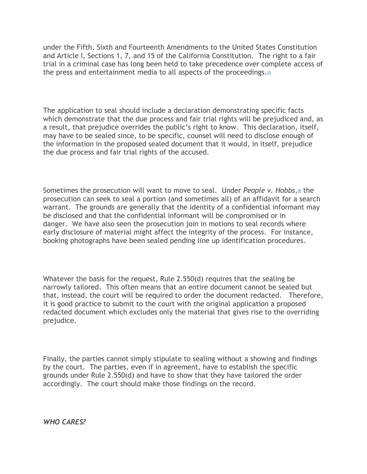under the Fifth, Sixth and Fourteenth Amendments to the United States Constitution and Article I, Sections 1, 7, and 15 of the California Constitution. The right to a fair trial in a criminal case has long been held to take precedence over complete access of the press and entertainment media to all aspects of the proceedings.<sup>[\[7\]](#page-5-6)</sup>

The application to seal should include a declaration demonstrating specific facts which demonstrate that the due process and fair trial rights will be prejudiced and, as a result, that prejudice overrides the public's right to know. This declaration, itself, may have to be sealed since, to be specific, counsel will need to disclose enough of the information in the proposed sealed document that it would, in itself, prejudice the due process and fair trial rights of the accused.

Sometimes the prosecution will want to move to seal. Under *People v. Hobbs*[,](#page-5-7)[8] the prosecution can seek to seal a portion (and sometimes all) of an affidavit for a search warrant. The grounds are generally that the identity of a confidential informant may be disclosed and that the confidential informant will be compromised or in danger. We have also seen the prosecution join in motions to seal records where early disclosure of material might affect the integrity of the process. For instance, booking photographs have been sealed pending line up identification procedures.

Whatever the basis for the request, Rule 2.550(d) requires that the sealing be narrowly tailored. This often means that an entire document cannot be sealed but that, instead, the court will be required to order the document redacted. Therefore, it is good practice to submit to the court with the original application a proposed redacted document which excludes only the material that gives rise to the overriding prejudice.

Finally, the parties cannot simply stipulate to sealing without a showing and findings by the court. The parties, even if in agreement, have to establish the specific grounds under Rule 2.550(d) and have to show that they have tailored the order accordingly. The court should make those findings on the record.

*WHO CARES?*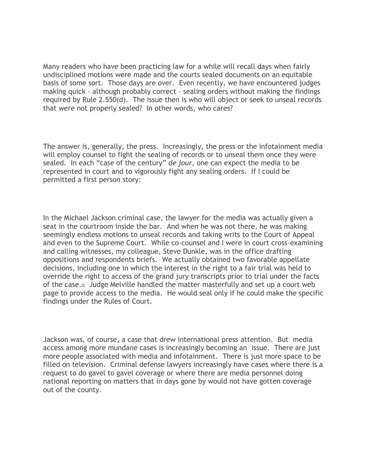Many readers who have been practicing law for a while will recall days when fairly undisciplined motions were made and the courts sealed documents on an equitable basis of some sort. Those days are over. Even recently, we have encountered judges making quick – although probably correct – sealing orders without making the findings required by Rule 2.550(d). The issue then is who will object or seek to unseal records that were not properly sealed? In other words, who cares?

The answer is, generally, the press. Increasingly, the press or the infotainment media will employ counsel to fight the sealing of records or to unseal them once they were sealed. In each "case of the century" *de jour*, one can expect the media to be represented in court and to vigorously fight any sealing orders. If I could be permitted a first person story:

In the Michael Jackson criminal case, the lawyer for the media was actually given a seat in the courtroom inside the bar. And when he was not there, he was making seemingly endless motions to unseal records and taking writs to the Court of Appeal and even to the Supreme Court. While co-counsel and I were in court cross-examining and calling witnesses, my colleague, Steve Dunkle, was in the office drafting oppositions and respondents briefs. We actually obtained two favorable appellate decisions, including one in which the interest in the right to a fair trial was held to override the right to access of the grand jury transcripts prior to trial under the facts of the case.[\[9\]](#page-5-8) Judge Melville handled the matter masterfully and set up a court web page to provide access to the media. He would seal only if he could make the specific findings under the Rules of Court.

Jackson was, of course, a case that drew international press attention. But media access among more mundane cases is increasingly becoming an issue. There are just more people associated with media and infotainment. There is just more space to be filled on television. Criminal defense lawyers increasingly have cases where there is a request to do gavel to gavel coverage or where there are media personnel doing national reporting on matters that in days gone by would not have gotten coverage out of the county.